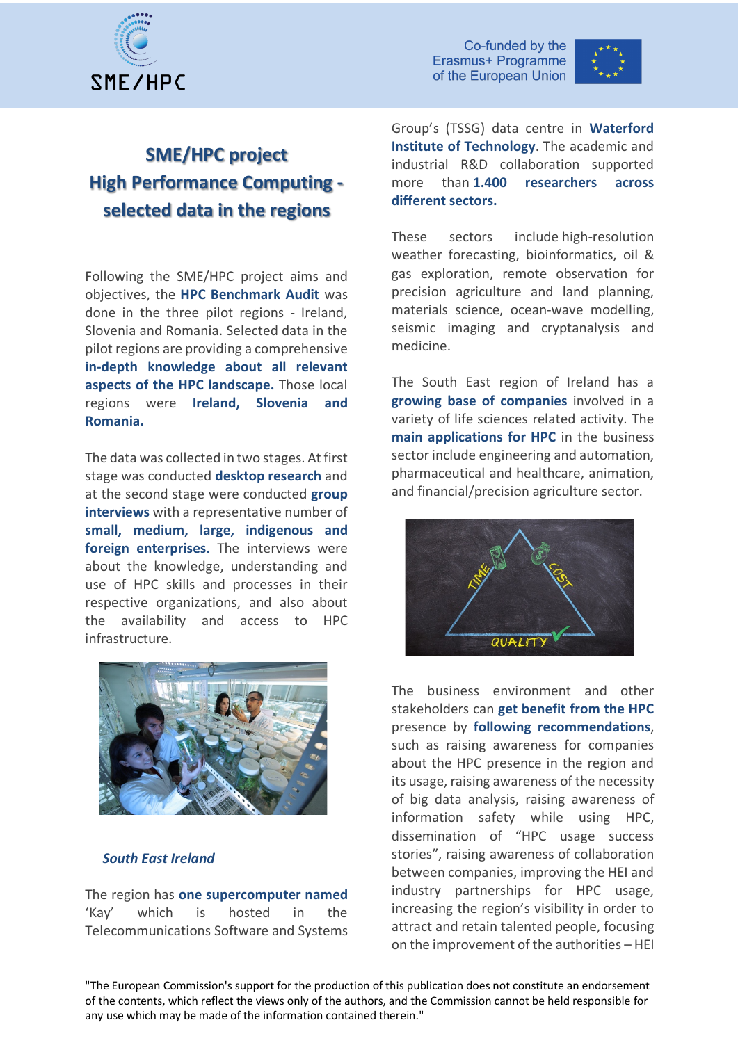



# **SME/HPC project High Performance Computing selected data in the regions**

Following the SME/HPC project aims and objectives, the **HPC Benchmark Audit** was done in the three pilot regions - Ireland, Slovenia and Romania. Selected data in the pilot regions are providing a comprehensive **in-depth knowledge about all relevant aspects of the HPC landscape.** Those local regions were **Ireland, Slovenia and Romania.**

The data was collected in two stages. At first stage was conducted **desktop research** and at the second stage were conducted **group interviews** with a representative number of **small, medium, large, indigenous and foreign enterprises.** The interviews were about the knowledge, understanding and use of HPC skills and processes in their respective organizations, and also about the availability and access to HPC infrastructure.



#### *South East Ireland*

The region has **one supercomputer named** 'Kay' which is hosted in the Telecommunications Software and Systems Group's (TSSG) data centre in **Waterford Institute of Technology**. The academic and industrial R&D collaboration supported more than **1.400 researchers across different sectors.** 

These sectors include high-resolution weather forecasting, bioinformatics, oil & gas exploration, remote observation for precision agriculture and land planning, materials science, ocean-wave modelling, seismic imaging and cryptanalysis and medicine.

The South East region of Ireland has a **growing base of companies** involved in a variety of life sciences related activity. The **main applications for HPC** in the business sector include engineering and automation, pharmaceutical and healthcare, animation, and financial/precision agriculture sector.



The business environment and other stakeholders can **get benefit from the HPC** presence by **following recommendations**, such as raising awareness for companies about the HPC presence in the region and its usage, raising awareness of the necessity of big data analysis, raising awareness of information safety while using HPC, dissemination of "HPC usage success stories", raising awareness of collaboration between companies, improving the HEI and industry partnerships for HPC usage, increasing the region's visibility in order to attract and retain talented people, focusing on the improvement of the authorities – HEI

"The European Commission's support for the production of this publication does not constitute an endorsement of the contents, which reflect the views only of the authors, and the Commission cannot be held responsible for any use which may be made of the information contained therein."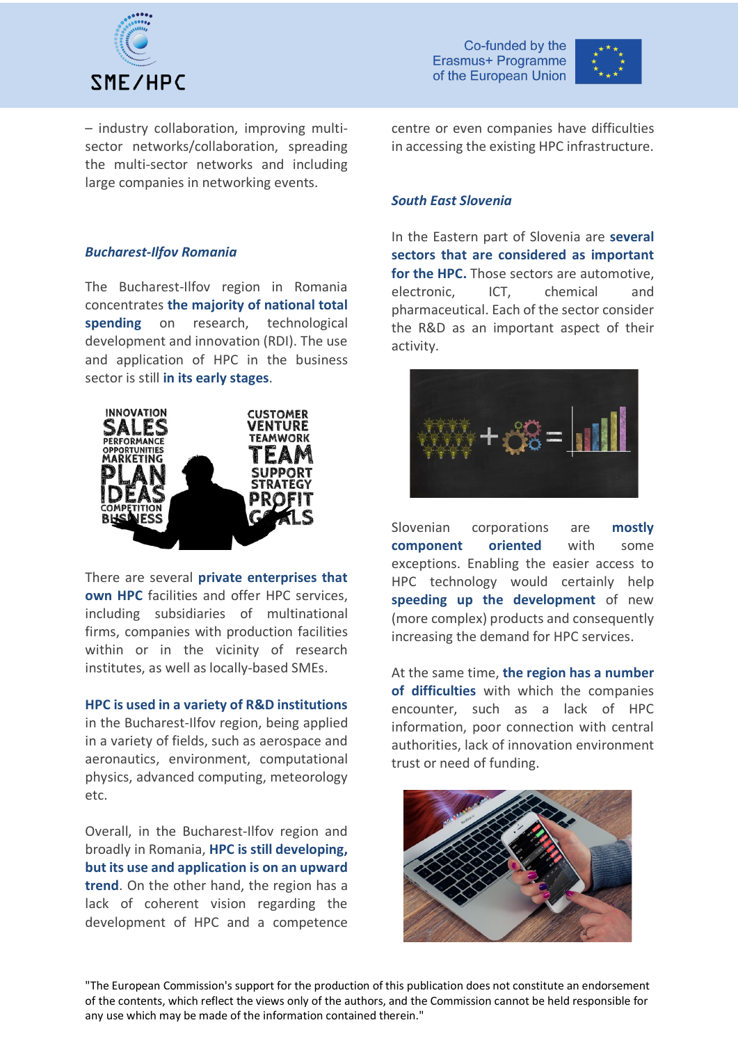

Co-funded by the Erasmus+ Programme of the European Union



– industry collaboration, improving multisector networks/collaboration, spreading the multi-sector networks and including large companies in networking events.

### *Bucharest-Ilfov Romania*

The Bucharest-Ilfov region in Romania concentrates **the majority of national total spending** on research, technological development and innovation (RDI). The use and application of HPC in the business sector is still **in its early stages**.



There are several **private enterprises that own HPC** facilities and offer HPC services, including subsidiaries of multinational firms, companies with production facilities within or in the vicinity of research institutes, as well as locally-based SMEs.

**HPC is used in a variety of R&D institutions** in the Bucharest-Ilfov region, being applied in a variety of fields, such as aerospace and aeronautics, environment, computational physics, advanced computing, meteorology etc.

Overall, in the Bucharest-Ilfov region and broadly in Romania, **HPC is still developing, but its use and application is on an upward trend**. On the other hand, the region has a lack of coherent vision regarding the development of HPC and a competence centre or even companies have difficulties in accessing the existing HPC infrastructure.

#### *South East Slovenia*

In the Eastern part of Slovenia are **several sectors that are considered as important for the HPC.** Those sectors are automotive, electronic, ICT, chemical and pharmaceutical. Each of the sector consider the R&D as an important aspect of their activity.



Slovenian corporations are **mostly component oriented** with some exceptions. Enabling the easier access to HPC technology would certainly help **speeding up the development** of new (more complex) products and consequently increasing the demand for HPC services.

At the same time, **the region has a number of difficulties** with which the companies encounter, such as a lack of HPC information, poor connection with central authorities, lack of innovation environment trust or need of funding.



"The European Commission's support for the production of this publication does not constitute an endorsement of the contents, which reflect the views only of the authors, and the Commission cannot be held responsible for any use which may be made of the information contained therein."